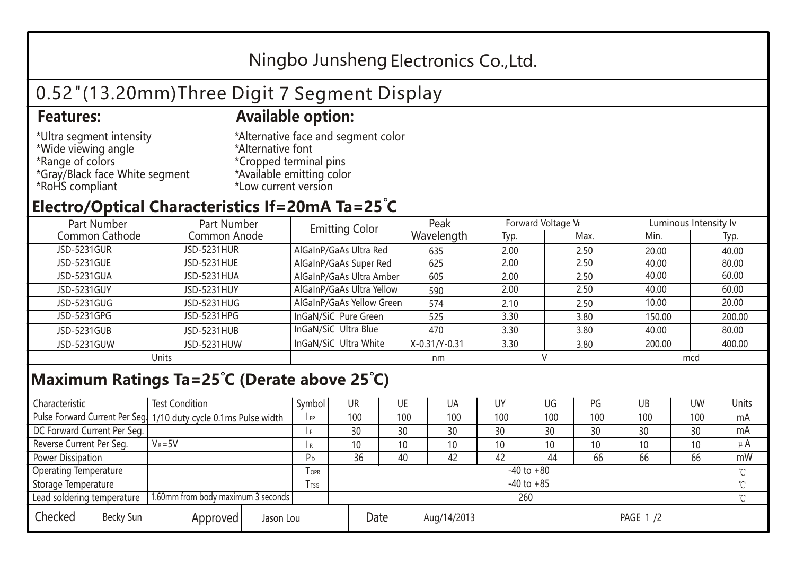## Ningbo Junsheng Electronics Co.,Ltd.

# 0.52"(13.20mm)Three Digit 7 Segment Display

### **Features: Available option:**

- \*Ultra segment intensity \*Wide viewing angle \*Range of colors \*Gray/Black face White segment \*RoHS compliant
- \*Alternative face and segment color \*Alternative font \*Cropped terminal pins \*Available emitting color \*Low current version

### **Electro/Optical Characteristics If=20mA Ta=25 C**

| Part Number    | Part Number        | <b>Emitting Color</b>     | Peak          | Forward Voltage VF |      | Luminous Intensity Iv |        |  |
|----------------|--------------------|---------------------------|---------------|--------------------|------|-----------------------|--------|--|
| Common Cathode | Common Anode       |                           | Wavelength    | Typ.               | Max. | Min.                  | Typ.   |  |
| JSD-5231GUR    | <b>JSD-5231HUR</b> | AlGaInP/GaAs Ultra Red    | 635           | 2.00               | 2.50 | 20.00                 | 40.00  |  |
| JSD-5231GUE    | JSD-5231HUE        | AlGaInP/GaAs Super Red    | 625           | 2.00               | 2.50 | 40.00                 | 80.00  |  |
| JSD-5231GUA    | JSD-5231HUA        | AlGaInP/GaAs Ultra Amber  | 605           | 2.00               | 2.50 | 40.00                 | 60.00  |  |
| JSD-5231GUY    | JSD-5231HUY        | AlGaInP/GaAs Ultra Yellow | 590           | 2.00               | 2.50 | 40.00                 | 60.00  |  |
| JSD-5231GUG    | JSD-5231HUG        | AlGaInP/GaAs Yellow Green | 574           | 2.10               | 2.50 | 10.00                 | 20.00  |  |
| JSD-5231GPG    | JSD-5231HPG        | InGaN/SiC Pure Green      | 525           | 3.30               | 3.80 | 150.00                | 200.00 |  |
| JSD-5231GUB    | JSD-5231HUB        | InGaN/SiC Ultra Blue      | 470           | 3.30               | 3.80 | 40.00                 | 80.00  |  |
| JSD-5231GUW    | JSD-5231HUW        | InGaN/SiC Ultra White     | X-0.31/Y-0.31 | 3.30               | 3.80 | 200.00                | 400.00 |  |
| Units          |                    |                           | nm            |                    |      | mcd                   |        |  |

#### **Maximum Ratings Ta=25°C (Derate above 25°C)**

| Characteristic                                |            | <b>Test Condition</b><br>Symbol                                  |                     |                | <b>UR</b>       |                 | UE       | UA  | UY  | UG  | PG  | UB              | <b>UW</b> | <b>Units</b> |  |
|-----------------------------------------------|------------|------------------------------------------------------------------|---------------------|----------------|-----------------|-----------------|----------|-----|-----|-----|-----|-----------------|-----------|--------------|--|
|                                               |            | Pulse Forward Current Per Seg. 1/10 duty cycle 0.1ms Pulse width |                     |                | 100             |                 | 100      | 100 | 100 | 100 | 100 | 100             | 100       | mA           |  |
| DC Forward Current Per Seg.                   |            |                                                                  |                     |                | 30              |                 | 30       | 30  | 30  | 30  | 30  | 30              | 30        | mA           |  |
| Reverse Current Per Seg.                      | $V_R = 5V$ |                                                                  |                     | R              | 10 <sup>°</sup> |                 | 10       | 10  | 10  | 10  | 10  | 10 <sup>°</sup> | 10        | μ $A$        |  |
| <b>Power Dissipation</b>                      |            |                                                                  |                     |                | 36              |                 | 40       | 42  | 42  | 44  | 66  | 66              | 66        | mW           |  |
| <b>Operating Temperature</b>                  |            |                                                                  | <b>OPR</b>          | $-40$ to $+80$ |                 |                 |          |     |     |     |     |                 | $\sim$    |              |  |
| Storage Temperature                           |            | l tsg                                                            | $-40$ to $+85$      |                |                 |                 |          |     |     |     |     | $\gamma$        |           |              |  |
| Lead soldering temperature                    |            | 1.60mm from body maximum 3 seconds                               |                     |                |                 | 260<br>$\gamma$ |          |     |     |     |     |                 |           |              |  |
| Checked<br>Becky Sun<br>Approved<br>Jason Lou |            |                                                                  | Date<br>Aug/14/2013 |                |                 |                 | PAGE 1/2 |     |     |     |     |                 |           |              |  |